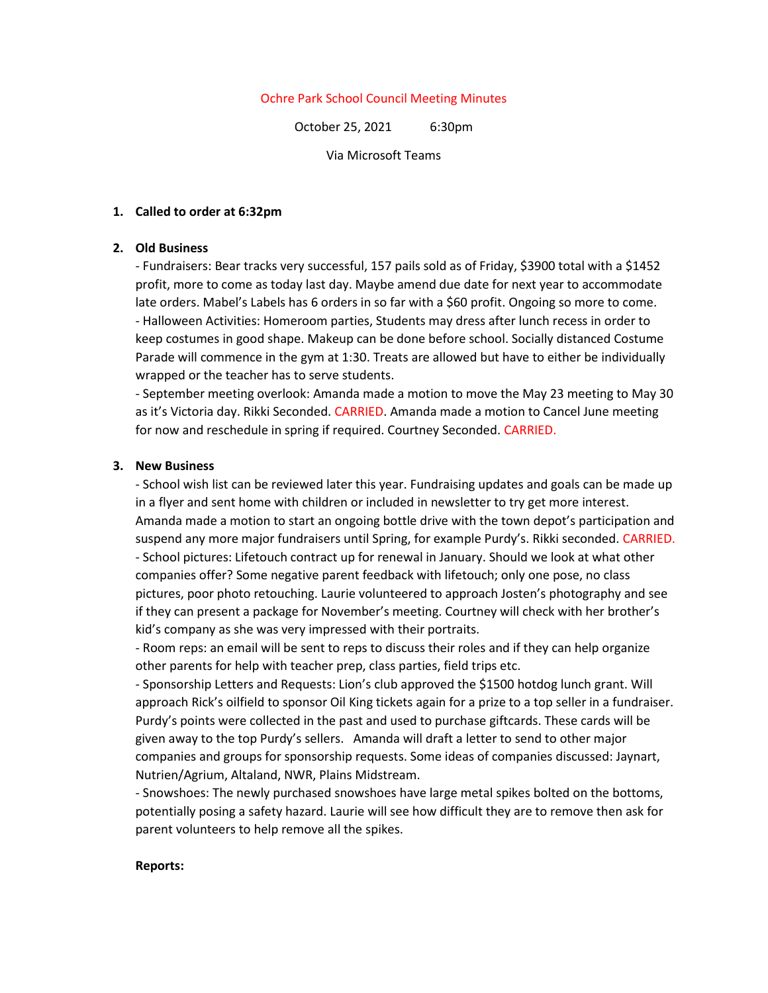# Ochre Park School Council Meeting Minutes

October 25, 2021 6:30pm

Via Microsoft Teams

## **1. Called to order at 6:32pm**

# **2. Old Business**

- Fundraisers: Bear tracks very successful, 157 pails sold as of Friday, \$3900 total with a \$1452 profit, more to come as today last day. Maybe amend due date for next year to accommodate late orders. Mabel's Labels has 6 orders in so far with a \$60 profit. Ongoing so more to come. - Halloween Activities: Homeroom parties, Students may dress after lunch recess in order to keep costumes in good shape. Makeup can be done before school. Socially distanced Costume Parade will commence in the gym at 1:30. Treats are allowed but have to either be individually wrapped or the teacher has to serve students.

- September meeting overlook: Amanda made a motion to move the May 23 meeting to May 30 as it's Victoria day. Rikki Seconded. CARRIED. Amanda made a motion to Cancel June meeting for now and reschedule in spring if required. Courtney Seconded. CARRIED.

## **3. New Business**

- School wish list can be reviewed later this year. Fundraising updates and goals can be made up in a flyer and sent home with children or included in newsletter to try get more interest. Amanda made a motion to start an ongoing bottle drive with the town depot's participation and suspend any more major fundraisers until Spring, for example Purdy's. Rikki seconded. CARRIED. - School pictures: Lifetouch contract up for renewal in January. Should we look at what other companies offer? Some negative parent feedback with lifetouch; only one pose, no class pictures, poor photo retouching. Laurie volunteered to approach Josten's photography and see if they can present a package for November's meeting. Courtney will check with her brother's kid's company as she was very impressed with their portraits.

- Room reps: an email will be sent to reps to discuss their roles and if they can help organize other parents for help with teacher prep, class parties, field trips etc.

- Sponsorship Letters and Requests: Lion's club approved the \$1500 hotdog lunch grant. Will approach Rick's oilfield to sponsor Oil King tickets again for a prize to a top seller in a fundraiser. Purdy's points were collected in the past and used to purchase giftcards. These cards will be given away to the top Purdy's sellers. Amanda will draft a letter to send to other major companies and groups for sponsorship requests. Some ideas of companies discussed: Jaynart, Nutrien/Agrium, Altaland, NWR, Plains Midstream.

- Snowshoes: The newly purchased snowshoes have large metal spikes bolted on the bottoms, potentially posing a safety hazard. Laurie will see how difficult they are to remove then ask for parent volunteers to help remove all the spikes.

#### **Reports:**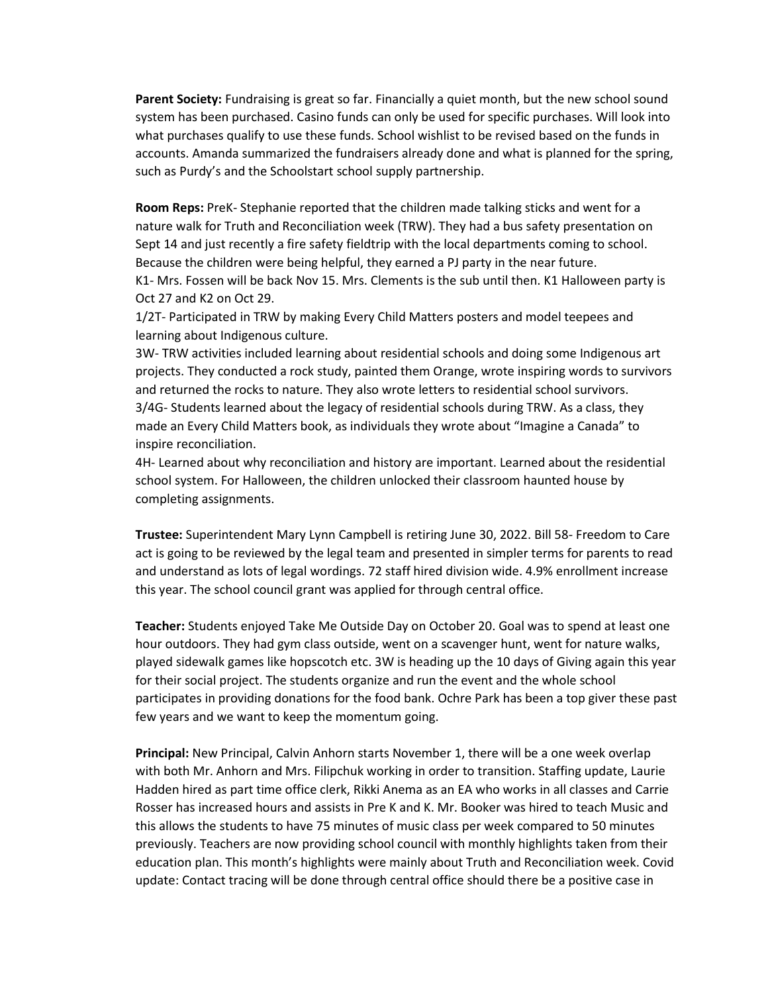**Parent Society:** Fundraising is great so far. Financially a quiet month, but the new school sound system has been purchased. Casino funds can only be used for specific purchases. Will look into what purchases qualify to use these funds. School wishlist to be revised based on the funds in accounts. Amanda summarized the fundraisers already done and what is planned for the spring, such as Purdy's and the Schoolstart school supply partnership.

**Room Reps:** PreK- Stephanie reported that the children made talking sticks and went for a nature walk for Truth and Reconciliation week (TRW). They had a bus safety presentation on Sept 14 and just recently a fire safety fieldtrip with the local departments coming to school. Because the children were being helpful, they earned a PJ party in the near future. K1- Mrs. Fossen will be back Nov 15. Mrs. Clements is the sub until then. K1 Halloween party is Oct 27 and K2 on Oct 29.

1/2T- Participated in TRW by making Every Child Matters posters and model teepees and learning about Indigenous culture.

3W- TRW activities included learning about residential schools and doing some Indigenous art projects. They conducted a rock study, painted them Orange, wrote inspiring words to survivors and returned the rocks to nature. They also wrote letters to residential school survivors. 3/4G- Students learned about the legacy of residential schools during TRW. As a class, they made an Every Child Matters book, as individuals they wrote about "Imagine a Canada" to inspire reconciliation.

4H- Learned about why reconciliation and history are important. Learned about the residential school system. For Halloween, the children unlocked their classroom haunted house by completing assignments.

**Trustee:** Superintendent Mary Lynn Campbell is retiring June 30, 2022. Bill 58- Freedom to Care act is going to be reviewed by the legal team and presented in simpler terms for parents to read and understand as lots of legal wordings. 72 staff hired division wide. 4.9% enrollment increase this year. The school council grant was applied for through central office.

**Teacher:** Students enjoyed Take Me Outside Day on October 20. Goal was to spend at least one hour outdoors. They had gym class outside, went on a scavenger hunt, went for nature walks, played sidewalk games like hopscotch etc. 3W is heading up the 10 days of Giving again this year for their social project. The students organize and run the event and the whole school participates in providing donations for the food bank. Ochre Park has been a top giver these past few years and we want to keep the momentum going.

**Principal:** New Principal, Calvin Anhorn starts November 1, there will be a one week overlap with both Mr. Anhorn and Mrs. Filipchuk working in order to transition. Staffing update, Laurie Hadden hired as part time office clerk, Rikki Anema as an EA who works in all classes and Carrie Rosser has increased hours and assists in Pre K and K. Mr. Booker was hired to teach Music and this allows the students to have 75 minutes of music class per week compared to 50 minutes previously. Teachers are now providing school council with monthly highlights taken from their education plan. This month's highlights were mainly about Truth and Reconciliation week. Covid update: Contact tracing will be done through central office should there be a positive case in